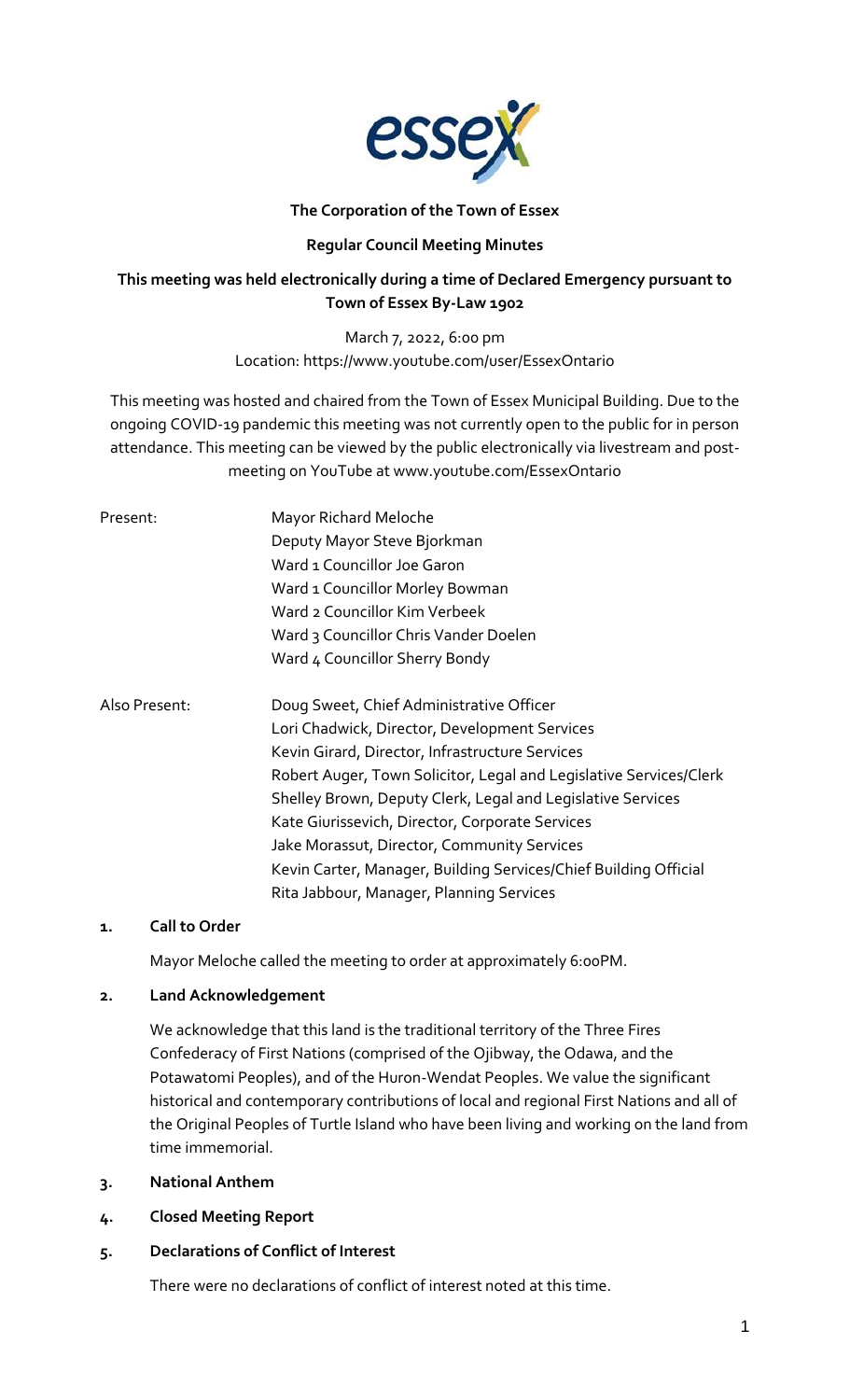

## **The Corporation of the Town of Essex**

## **Regular Council Meeting Minutes**

## **This meeting was held electronically during a time of Declared Emergency pursuant to Town of Essex By-Law 1902**

March 7, 2022, 6:00 pm Location: https://www.youtube.com/user/EssexOntario

This meeting was hosted and chaired from the Town of Essex Municipal Building. Due to the ongoing COVID-19 pandemic this meeting was not currently open to the public for in person attendance. This meeting can be viewed by the public electronically via livestream and postmeeting on YouTube at www.youtube.com/EssexOntario

| Present:      | Mayor Richard Meloche<br>Deputy Mayor Steve Bjorkman<br>Ward 1 Councillor Joe Garon<br>Ward 1 Councillor Morley Bowman<br>Ward 2 Councillor Kim Verbeek<br>Ward 3 Councillor Chris Vander Doelen<br>Ward 4 Councillor Sherry Bondy                                                                                                                                                                                                                                                                  |
|---------------|-----------------------------------------------------------------------------------------------------------------------------------------------------------------------------------------------------------------------------------------------------------------------------------------------------------------------------------------------------------------------------------------------------------------------------------------------------------------------------------------------------|
| Also Present: | Doug Sweet, Chief Administrative Officer<br>Lori Chadwick, Director, Development Services<br>Kevin Girard, Director, Infrastructure Services<br>Robert Auger, Town Solicitor, Legal and Legislative Services/Clerk<br>Shelley Brown, Deputy Clerk, Legal and Legislative Services<br>Kate Giurissevich, Director, Corporate Services<br>Jake Morassut, Director, Community Services<br>Kevin Carter, Manager, Building Services/Chief Building Official<br>Rita Jabbour, Manager, Planning Services |

## **1. Call to Order**

Mayor Meloche called the meeting to order at approximately 6:00PM.

## **2. Land Acknowledgement**

We acknowledge that this land is the traditional territory of the Three Fires Confederacy of First Nations (comprised of the Ojibway, the Odawa, and the Potawatomi Peoples), and of the Huron-Wendat Peoples. We value the significant historical and contemporary contributions of local and regional First Nations and all of the Original Peoples of Turtle Island who have been living and working on the land from time immemorial.

- **3. National Anthem**
- **4. Closed Meeting Report**
- **5. Declarations of Conflict of Interest**

There were no declarations of conflict of interest noted at this time.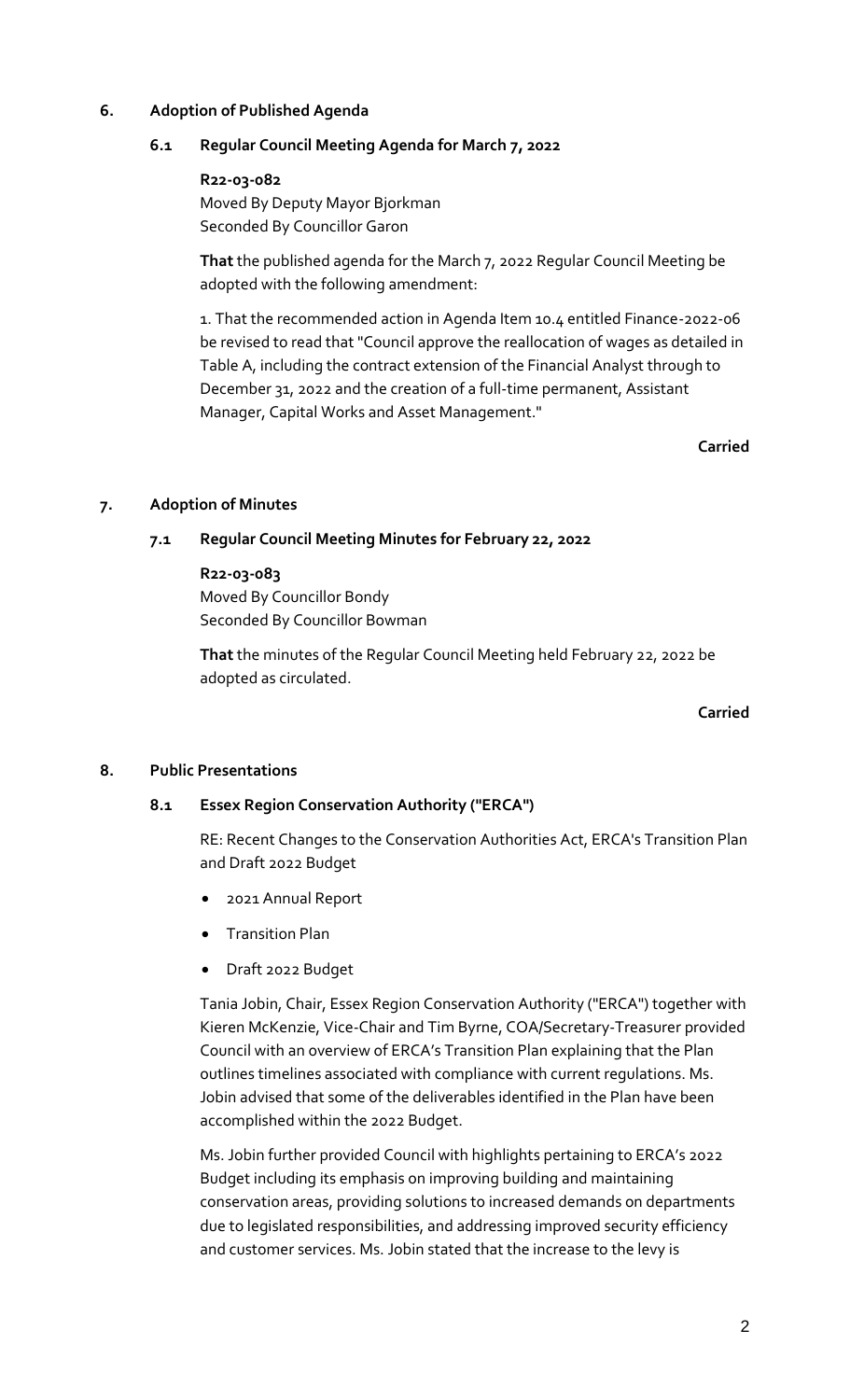## **6. Adoption of Published Agenda**

## **6.1 Regular Council Meeting Agenda for March 7, 2022**

#### **R22-03-082**

Moved By Deputy Mayor Bjorkman Seconded By Councillor Garon

**That** the published agenda for the March 7, 2022 Regular Council Meeting be adopted with the following amendment:

1. That the recommended action in Agenda Item 10.4 entitled Finance-2022-06 be revised to read that "Council approve the reallocation of wages as detailed in Table A, including the contract extension of the Financial Analyst through to December 31, 2022 and the creation of a full-time permanent, Assistant Manager, Capital Works and Asset Management."

**Carried**

## **7. Adoption of Minutes**

## **7.1 Regular Council Meeting Minutes for February 22, 2022**

#### **R22-03-083**

Moved By Councillor Bondy Seconded By Councillor Bowman

**That** the minutes of the Regular Council Meeting held February 22, 2022 be adopted as circulated.

**Carried**

## **8. Public Presentations**

## **8.1 Essex Region Conservation Authority ("ERCA")**

RE: Recent Changes to the Conservation Authorities Act, ERCA's Transition Plan and Draft 2022 Budget

- 2021 Annual Report
- Transition Plan
- Draft 2022 Budget

Tania Jobin, Chair, Essex Region Conservation Authority ("ERCA") together with Kieren McKenzie, Vice-Chair and Tim Byrne, COA/Secretary-Treasurer provided Council with an overview of ERCA's Transition Plan explaining that the Plan outlines timelines associated with compliance with current regulations. Ms. Jobin advised that some of the deliverables identified in the Plan have been accomplished within the 2022 Budget.

Ms. Jobin further provided Council with highlights pertaining to ERCA's 2022 Budget including its emphasis on improving building and maintaining conservation areas, providing solutions to increased demands on departments due to legislated responsibilities, and addressing improved security efficiency and customer services. Ms. Jobin stated that the increase to the levy is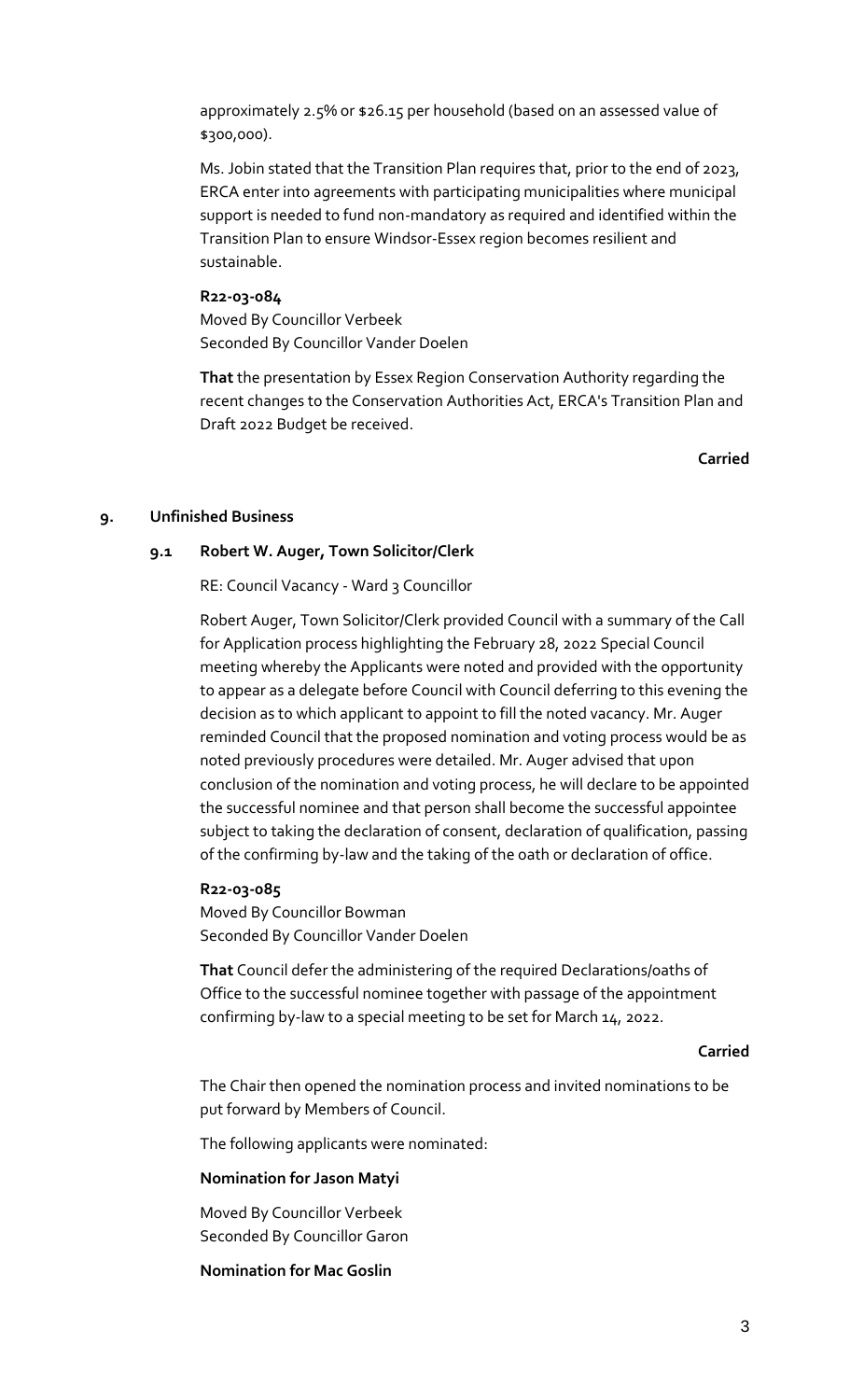approximately 2.5% or \$26.15 per household (based on an assessed value of \$300,000).

Ms. Jobin stated that the Transition Plan requires that, prior to the end of 2023, ERCA enter into agreements with participating municipalities where municipal support is needed to fund non-mandatory as required and identified within the Transition Plan to ensure Windsor-Essex region becomes resilient and sustainable.

## **R22-03-084**

Moved By Councillor Verbeek Seconded By Councillor Vander Doelen

**That** the presentation by Essex Region Conservation Authority regarding the recent changes to the Conservation Authorities Act, ERCA's Transition Plan and Draft 2022 Budget be received.

**Carried**

#### **9. Unfinished Business**

## **9.1 Robert W. Auger, Town Solicitor/Clerk**

RE: Council Vacancy - Ward 3 Councillor

Robert Auger, Town Solicitor/Clerk provided Council with a summary of the Call for Application process highlighting the February 28, 2022 Special Council meeting whereby the Applicants were noted and provided with the opportunity to appear as a delegate before Council with Council deferring to this evening the decision as to which applicant to appoint to fill the noted vacancy. Mr. Auger reminded Council that the proposed nomination and voting process would be as noted previously procedures were detailed. Mr. Auger advised that upon conclusion of the nomination and voting process, he will declare to be appointed the successful nominee and that person shall become the successful appointee subject to taking the declaration of consent, declaration of qualification, passing of the confirming by-law and the taking of the oath or declaration of office.

#### **R22-03-085**

Moved By Councillor Bowman Seconded By Councillor Vander Doelen

**That** Council defer the administering of the required Declarations/oaths of Office to the successful nominee together with passage of the appointment confirming by-law to a special meeting to be set for March 14, 2022.

#### **Carried**

The Chair then opened the nomination process and invited nominations to be put forward by Members of Council.

The following applicants were nominated:

#### **Nomination for Jason Matyi**

Moved By Councillor Verbeek Seconded By Councillor Garon

#### **Nomination for Mac Goslin**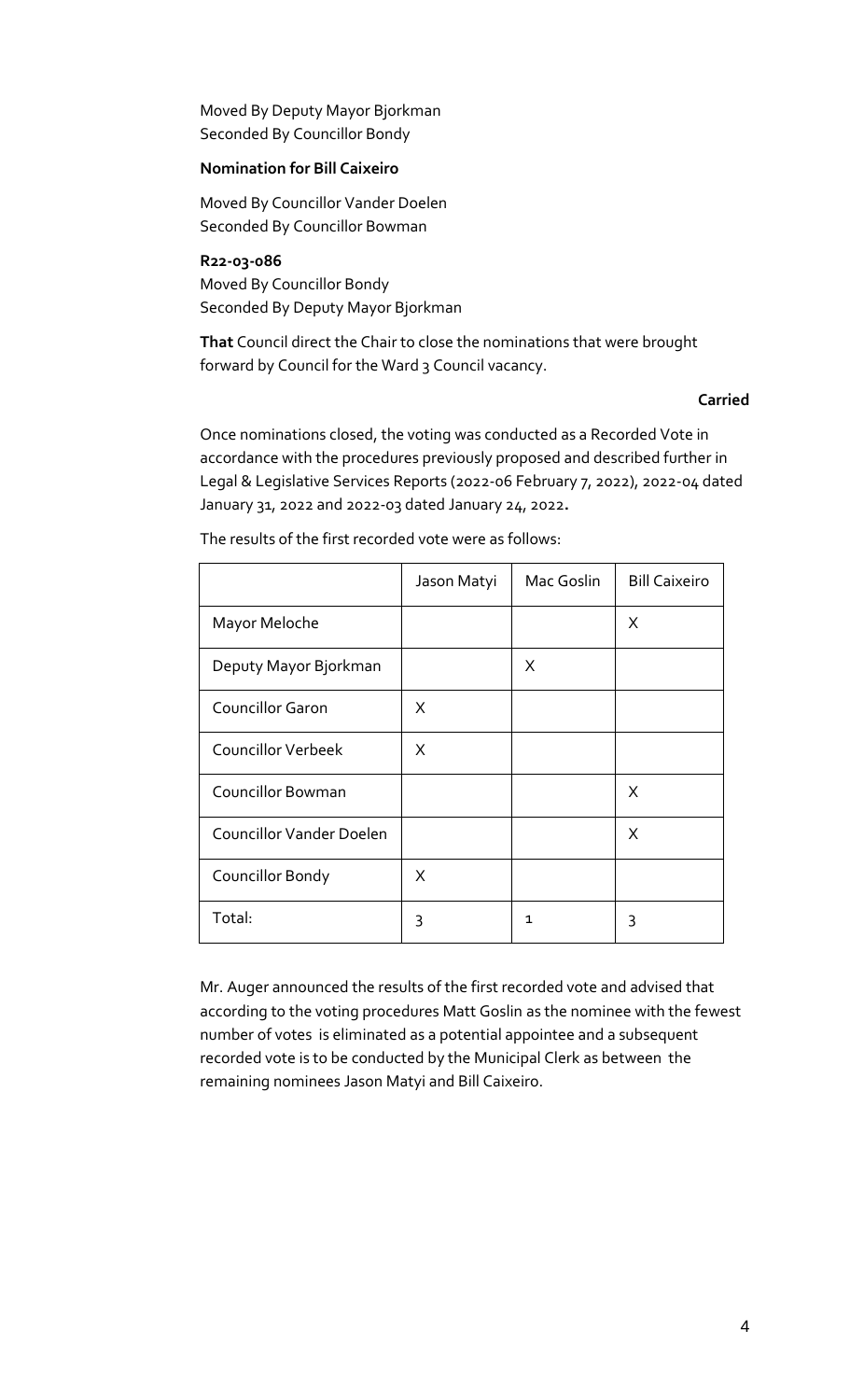Moved By Deputy Mayor Bjorkman Seconded By Councillor Bondy

## **Nomination for Bill Caixeiro**

Moved By Councillor Vander Doelen Seconded By Councillor Bowman

**R22-03-086** Moved By Councillor Bondy Seconded By Deputy Mayor Bjorkman

**That** Council direct the Chair to close the nominations that were brought forward by Council for the Ward 3 Council vacancy.

#### **Carried**

Once nominations closed, the voting was conducted as a Recorded Vote in accordance with the procedures previously proposed and described further in Legal & Legislative Services Reports (2022-06 February 7, 2022), 2022-04 dated January 31, 2022 and 2022-03 dated January 24, 2022**.**

|                                 | Jason Matyi | Mac Goslin | <b>Bill Caixeiro</b> |
|---------------------------------|-------------|------------|----------------------|
| Mayor Meloche                   |             |            | X                    |
| Deputy Mayor Bjorkman           |             | X          |                      |
| <b>Councillor Garon</b>         | X           |            |                      |
| <b>Councillor Verbeek</b>       | X           |            |                      |
| <b>Councillor Bowman</b>        |             |            | X                    |
| <b>Councillor Vander Doelen</b> |             |            | X                    |
| Councillor Bondy                | X           |            |                      |
| Total:                          | 3           | 1          | 3                    |

The results of the first recorded vote were as follows:

Mr. Auger announced the results of the first recorded vote and advised that according to the voting procedures Matt Goslin as the nominee with the fewest number of votes is eliminated as a potential appointee and a subsequent recorded vote is to be conducted by the Municipal Clerk as between the remaining nominees Jason Matyi and Bill Caixeiro.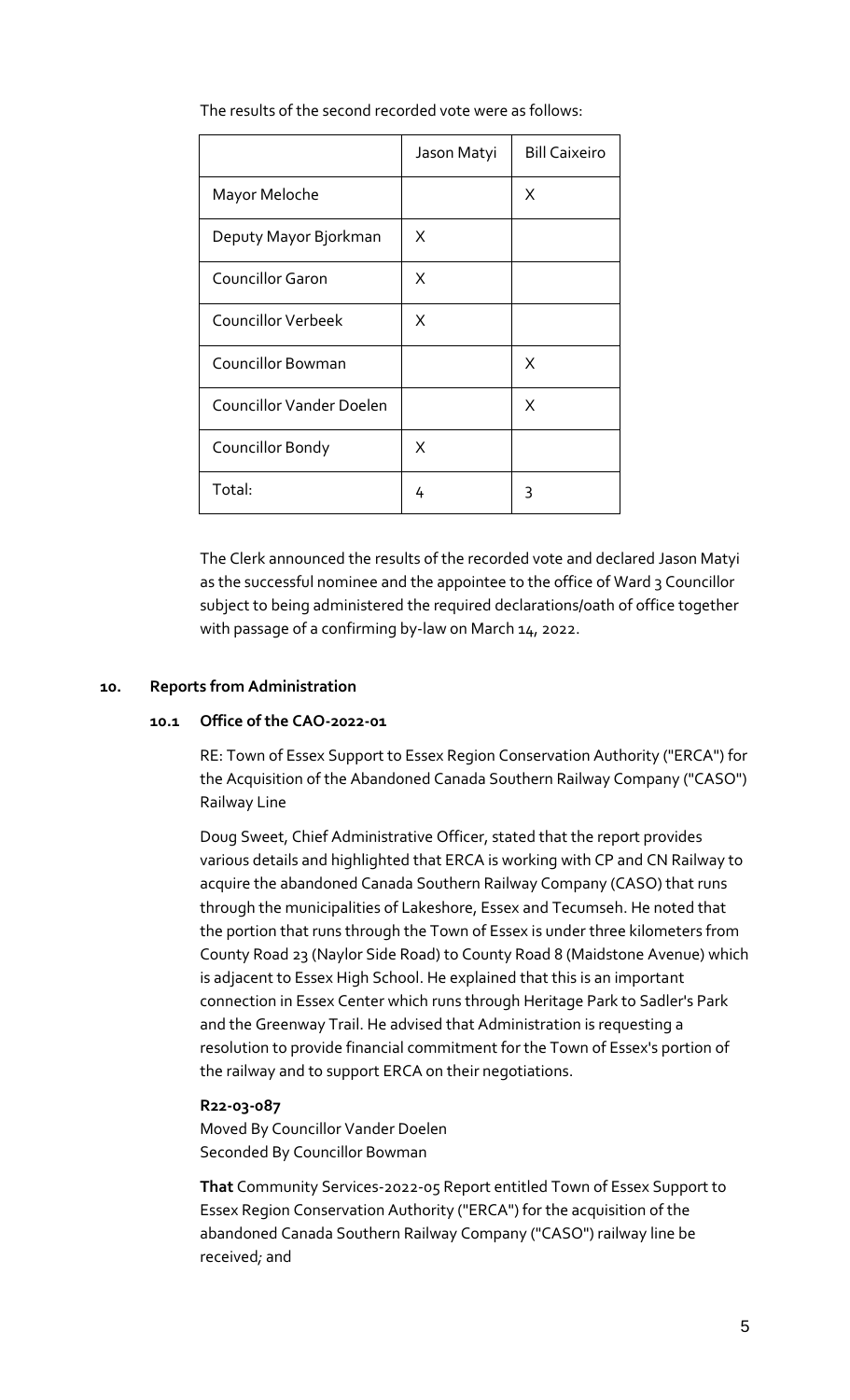|                          | Jason Matyi | <b>Bill Caixeiro</b> |
|--------------------------|-------------|----------------------|
| Mayor Meloche            |             | X                    |
| Deputy Mayor Bjorkman    | X           |                      |
| <b>Councillor Garon</b>  | X           |                      |
| Councillor Verbeek       | X           |                      |
| <b>Councillor Bowman</b> |             | X                    |
| Councillor Vander Doelen |             | X                    |
| Councillor Bondy         | X           |                      |
| Total:                   | 4           | 3                    |

The results of the second recorded vote were as follows:

The Clerk announced the results of the recorded vote and declared Jason Matyi as the successful nominee and the appointee to the office of Ward 3 Councillor subject to being administered the required declarations/oath of office together with passage of a confirming by-law on March 14, 2022.

## **10. Reports from Administration**

## **10.1 Office of the CAO-2022-01**

RE: Town of Essex Support to Essex Region Conservation Authority ("ERCA") for the Acquisition of the Abandoned Canada Southern Railway Company ("CASO") Railway Line

Doug Sweet, Chief Administrative Officer, stated that the report provides various details and highlighted that ERCA is working with CP and CN Railway to acquire the abandoned Canada Southern Railway Company (CASO) that runs through the municipalities of Lakeshore, Essex and Tecumseh. He noted that the portion that runs through the Town of Essex is under three kilometers from County Road 23 (Naylor Side Road) to County Road 8 (Maidstone Avenue) which is adjacent to Essex High School. He explained that this is an important connection in Essex Center which runs through Heritage Park to Sadler's Park and the Greenway Trail. He advised that Administration is requesting a resolution to provide financial commitment for the Town of Essex's portion of the railway and to support ERCA on their negotiations.

#### **R22-03-087**

Moved By Councillor Vander Doelen Seconded By Councillor Bowman

**That** Community Services-2022-05 Report entitled Town of Essex Support to Essex Region Conservation Authority ("ERCA") for the acquisition of the abandoned Canada Southern Railway Company ("CASO") railway line be received*;* and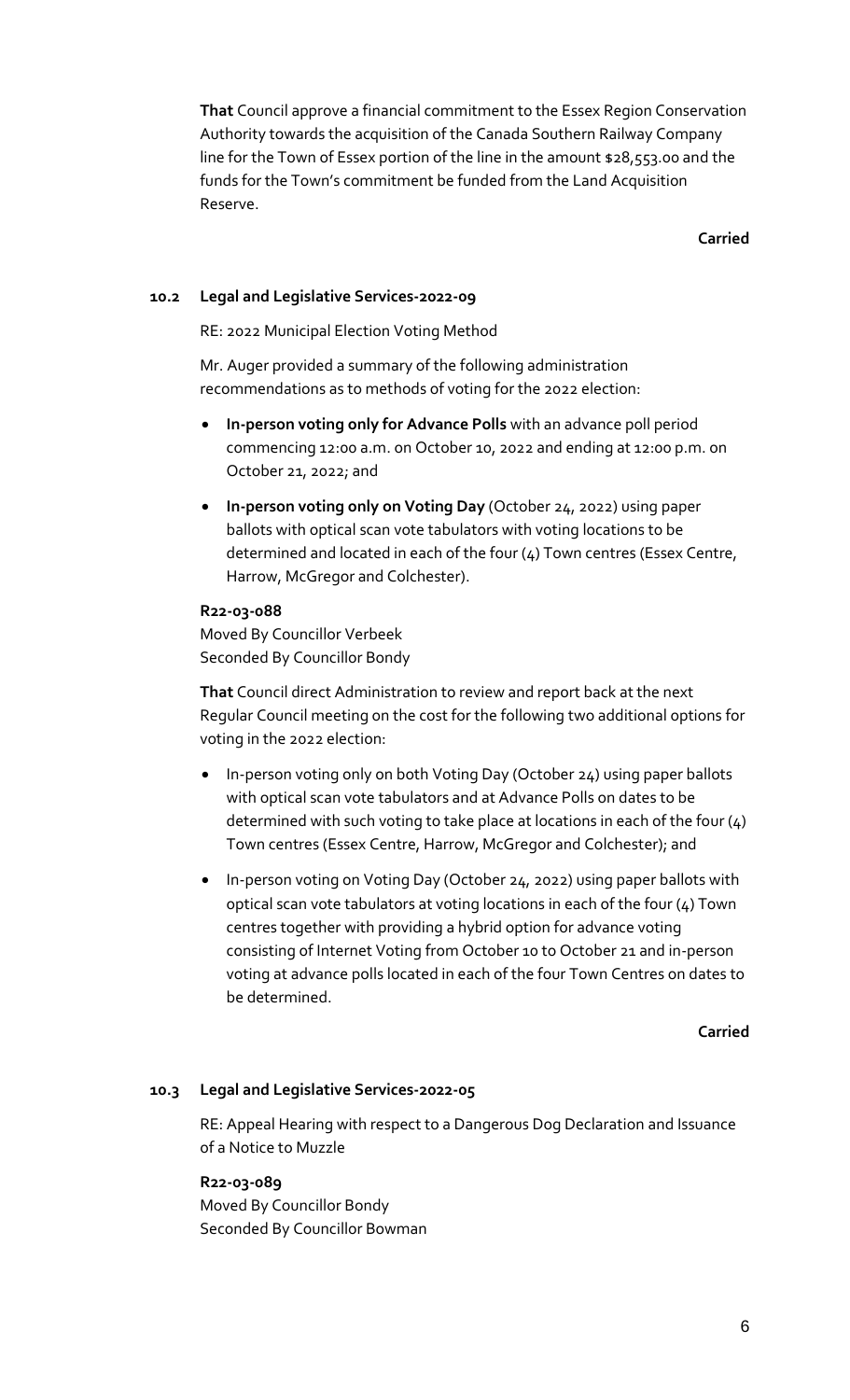**That** Council approve a financial commitment to the Essex Region Conservation Authority towards the acquisition of the Canada Southern Railway Company line for the Town of Essex portion of the line in the amount \$28,553.00 and the funds for the Town's commitment be funded from the Land Acquisition Reserve.

**Carried**

## **10.2 Legal and Legislative Services-2022-09**

RE: 2022 Municipal Election Voting Method

Mr. Auger provided a summary of the following administration recommendations as to methods of voting for the 2022 election:

- **In-person voting only for Advance Polls** with an advance poll period commencing 12:00 a.m. on October 10, 2022 and ending at 12:00 p.m. on October 21, 2022; and
- **In-person voting only on Voting Day** (October 24, 2022) using paper ballots with optical scan vote tabulators with voting locations to be determined and located in each of the four (4) Town centres (Essex Centre, Harrow, McGregor and Colchester).

## **R22-03-088**

Moved By Councillor Verbeek Seconded By Councillor Bondy

**That** Council direct Administration to review and report back at the next Regular Council meeting on the cost for the following two additional options for voting in the 2022 election:

- In-person voting only on both Voting Day (October 24) using paper ballots with optical scan vote tabulators and at Advance Polls on dates to be determined with such voting to take place at locations in each of the four (4) Town centres (Essex Centre, Harrow, McGregor and Colchester); and
- In-person voting on Voting Day (October 24, 2022) using paper ballots with optical scan vote tabulators at voting locations in each of the four (4) Town centres together with providing a hybrid option for advance voting consisting of Internet Voting from October 10 to October 21 and in-person voting at advance polls located in each of the four Town Centres on dates to be determined.

**Carried**

## **10.3 Legal and Legislative Services-2022-05**

RE: Appeal Hearing with respect to a Dangerous Dog Declaration and Issuance of a Notice to Muzzle

## **R22-03-089**

Moved By Councillor Bondy Seconded By Councillor Bowman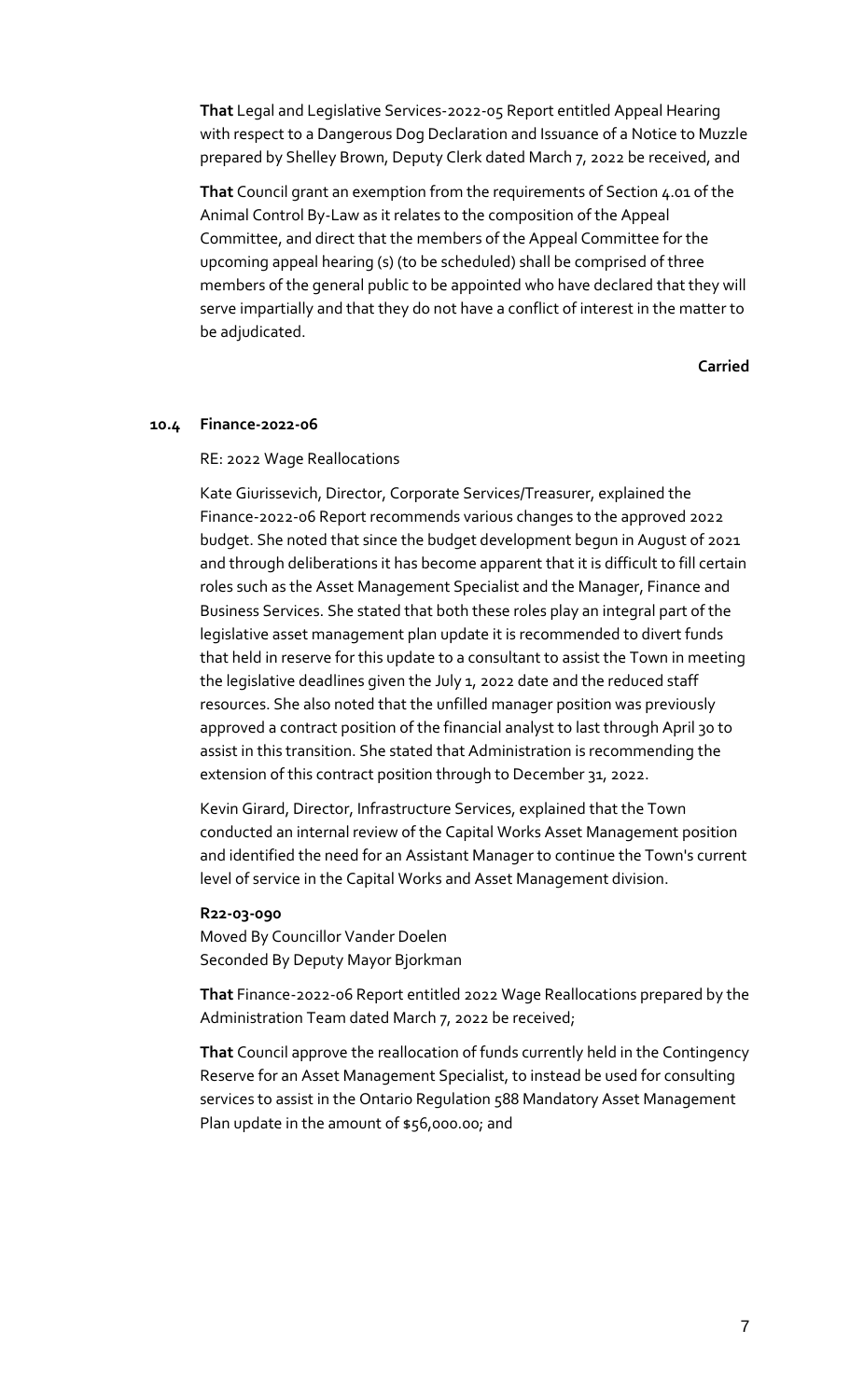**That** Legal and Legislative Services-2022-05 Report entitled Appeal Hearing with respect to a Dangerous Dog Declaration and Issuance of a Notice to Muzzle prepared by Shelley Brown, Deputy Clerk dated March 7, 2022 be received, and

**That** Council grant an exemption from the requirements of Section 4.01 of the Animal Control By-Law as it relates to the composition of the Appeal Committee, and direct that the members of the Appeal Committee for the upcoming appeal hearing (s) (to be scheduled) shall be comprised of three members of the general public to be appointed who have declared that they will serve impartially and that they do not have a conflict of interest in the matter to be adjudicated.

**Carried**

#### **10.4 Finance-2022-06**

#### RE: 2022 Wage Reallocations

Kate Giurissevich, Director, Corporate Services/Treasurer, explained the Finance-2022-06 Report recommends various changes to the approved 2022 budget. She noted that since the budget development begun in August of 2021 and through deliberations it has become apparent that it is difficult to fill certain roles such as the Asset Management Specialist and the Manager, Finance and Business Services. She stated that both these roles play an integral part of the legislative asset management plan update it is recommended to divert funds that held in reserve for this update to a consultant to assist the Town in meeting the legislative deadlines given the July 1, 2022 date and the reduced staff resources. She also noted that the unfilled manager position was previously approved a contract position of the financial analyst to last through April 30 to assist in this transition. She stated that Administration is recommending the extension of this contract position through to December 31, 2022.

Kevin Girard, Director, Infrastructure Services, explained that the Town conducted an internal review of the Capital Works Asset Management position and identified the need for an Assistant Manager to continue the Town's current level of service in the Capital Works and Asset Management division.

#### **R22-03-090**

Moved By Councillor Vander Doelen Seconded By Deputy Mayor Bjorkman

**That** Finance-2022-06 Report entitled 2022 Wage Reallocations prepared by the Administration Team dated March 7, 2022 be received;

**That** Council approve the reallocation of funds currently held in the Contingency Reserve for an Asset Management Specialist, to instead be used for consulting services to assist in the Ontario Regulation 588 Mandatory Asset Management Plan update in the amount of \$56,000.00; and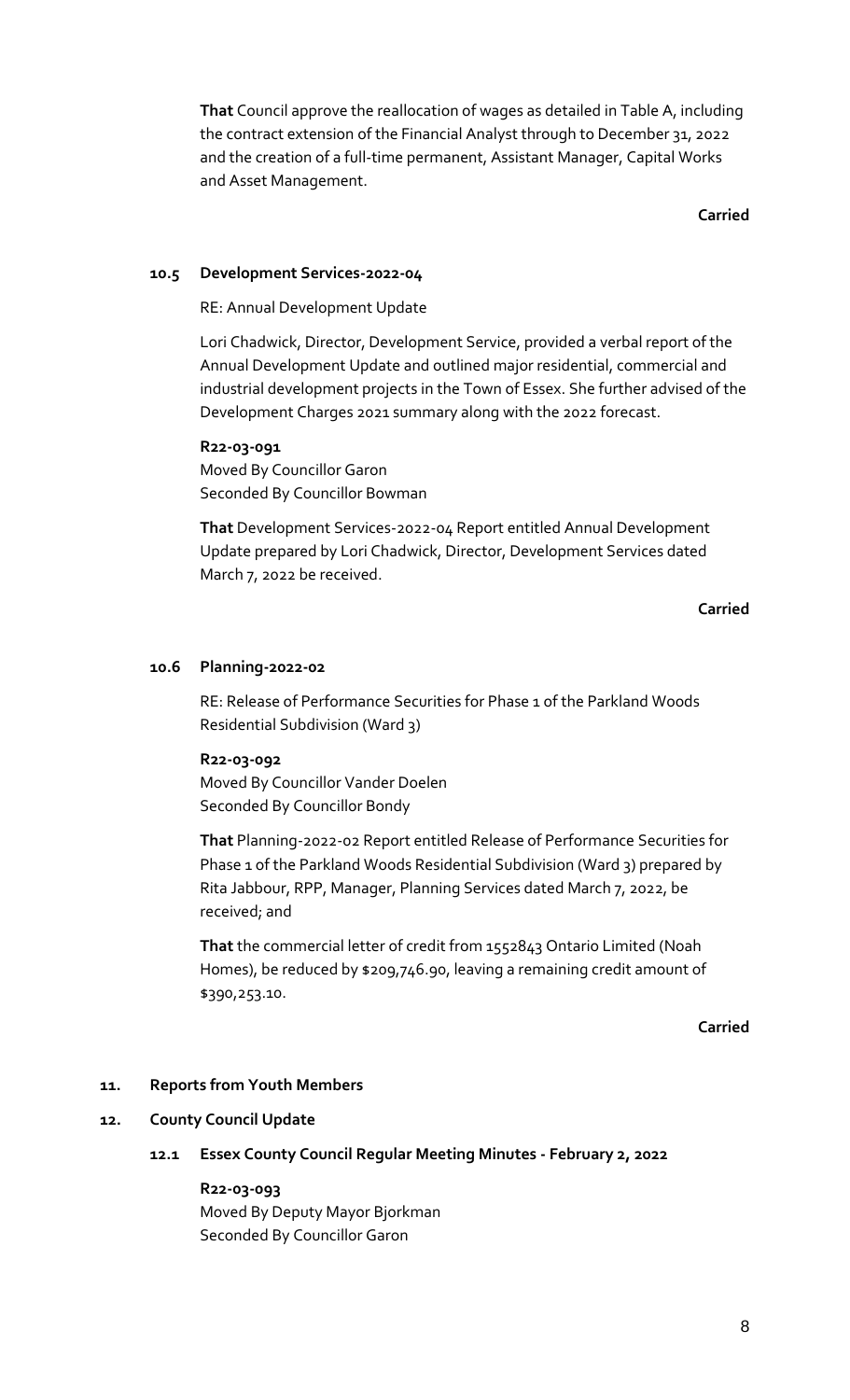**That** Council approve the reallocation of wages as detailed in Table A, including the contract extension of the Financial Analyst through to December 31, 2022 and the creation of a full-time permanent, Assistant Manager, Capital Works and Asset Management.

**Carried**

## **10.5 Development Services-2022-04**

RE: Annual Development Update

Lori Chadwick, Director, Development Service, provided a verbal report of the Annual Development Update and outlined major residential, commercial and industrial development projects in the Town of Essex. She further advised of the Development Charges 2021 summary along with the 2022 forecast.

## **R22-03-091**

Moved By Councillor Garon Seconded By Councillor Bowman

**That** Development Services-2022-04 Report entitled Annual Development Update prepared by Lori Chadwick, Director, Development Services dated March 7, 2022 be received.

**Carried**

#### **10.6 Planning-2022-02**

RE: Release of Performance Securities for Phase 1 of the Parkland Woods Residential Subdivision (Ward 3)

#### **R22-03-092**

Moved By Councillor Vander Doelen Seconded By Councillor Bondy

**That** Planning-2022-02 Report entitled Release of Performance Securities for Phase 1 of the Parkland Woods Residential Subdivision (Ward 3) prepared by Rita Jabbour, RPP, Manager, Planning Services dated March 7, 2022, be received; and

**That** the commercial letter of credit from 1552843 Ontario Limited (Noah Homes), be reduced by \$209,746.90, leaving a remaining credit amount of \$390,253.10.

**Carried**

#### **11. Reports from Youth Members**

#### **12. County Council Update**

**12.1 Essex County Council Regular Meeting Minutes - February 2, 2022**

#### **R22-03-093**

Moved By Deputy Mayor Bjorkman Seconded By Councillor Garon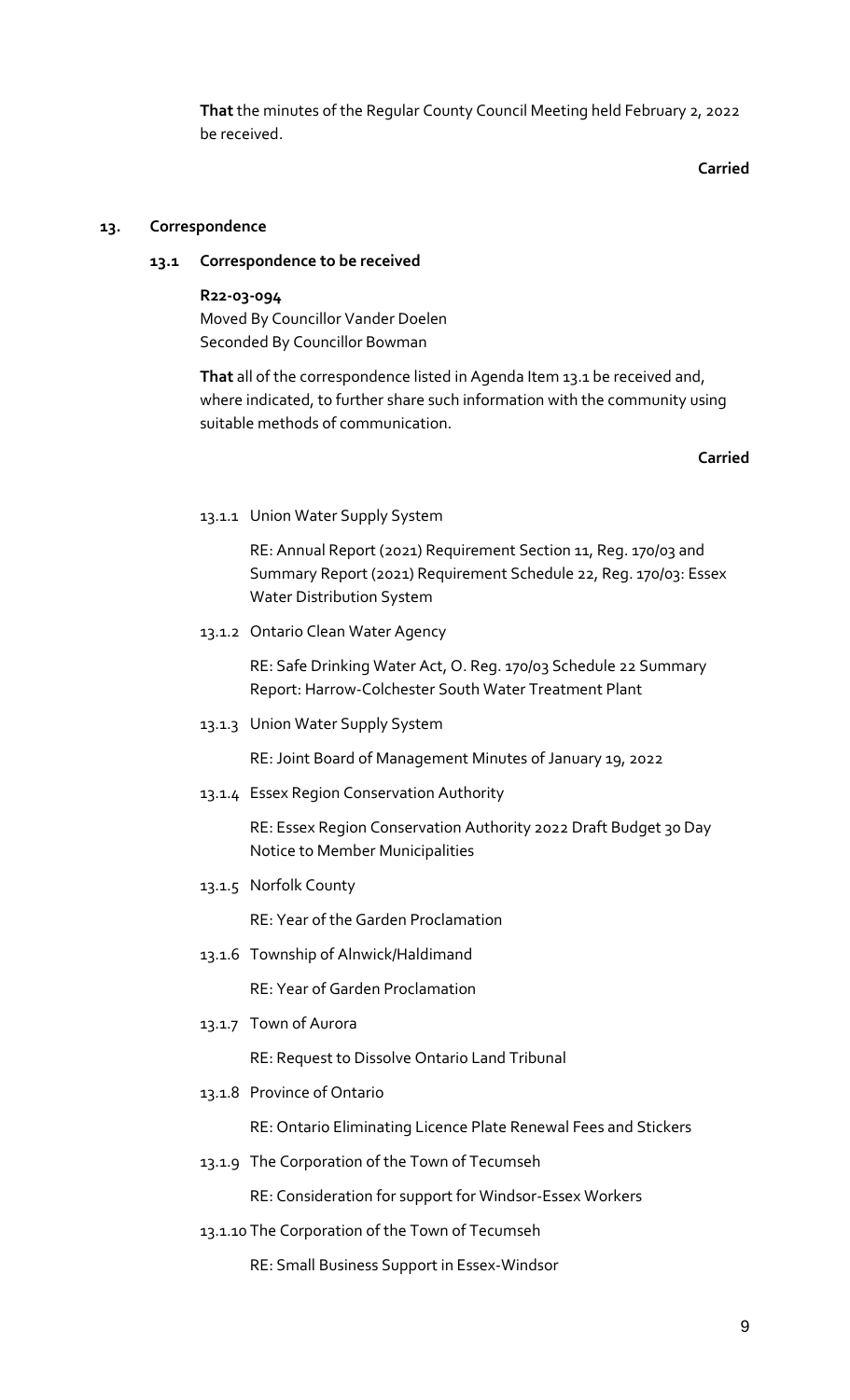**That** the minutes of the Regular County Council Meeting held February 2, 2022 be received.

**Carried**

#### **13. Correspondence**

#### **13.1 Correspondence to be received**

**R22-03-094** Moved By Councillor Vander Doelen Seconded By Councillor Bowman

**That** all of the correspondence listed in Agenda Item 13.1 be received and, where indicated, to further share such information with the community using suitable methods of communication.

#### **Carried**

13.1.1 Union Water Supply System

RE: Annual Report (2021) Requirement Section 11, Reg. 170/03 and Summary Report (2021) Requirement Schedule 22, Reg. 170/03: Essex Water Distribution System

13.1.2 Ontario Clean Water Agency

RE: Safe Drinking Water Act, O. Reg. 170/03 Schedule 22 Summary Report: Harrow-Colchester South Water Treatment Plant

13.1.3 Union Water Supply System

RE: Joint Board of Management Minutes of January 19, 2022

13.1.4 Essex Region Conservation Authority

RE: Essex Region Conservation Authority 2022 Draft Budget 30 Day Notice to Member Municipalities

13.1.5 Norfolk County

RE: Year of the Garden Proclamation

13.1.6 Township of Alnwick/Haldimand

RE: Year of Garden Proclamation

13.1.7 Town of Aurora

RE: Request to Dissolve Ontario Land Tribunal

13.1.8 Province of Ontario

RE: Ontario Eliminating Licence Plate Renewal Fees and Stickers

13.1.9 The Corporation of the Town of Tecumseh

RE: Consideration for support for Windsor-Essex Workers

13.1.10 The Corporation of the Town of Tecumseh

RE: Small Business Support in Essex-Windsor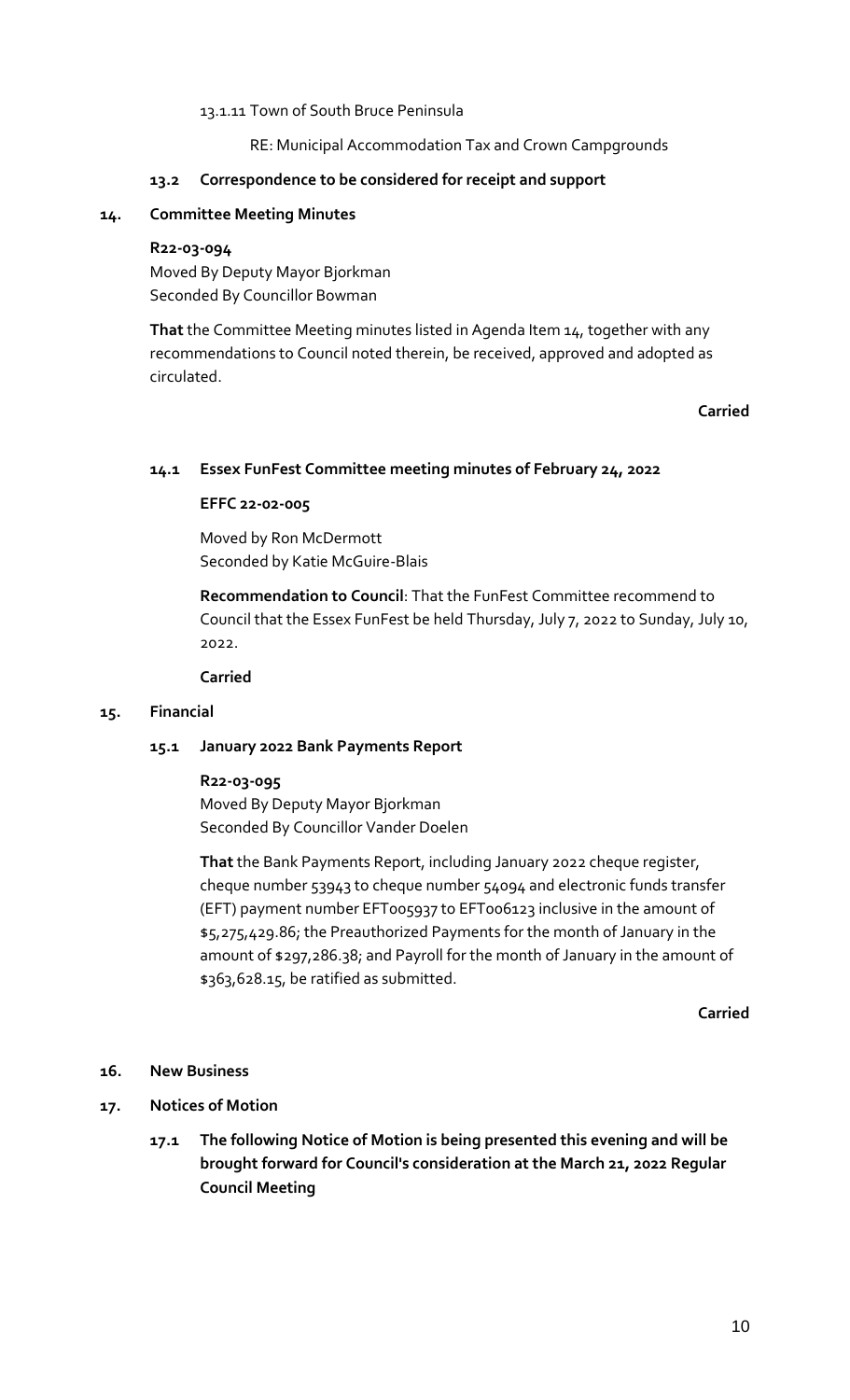## 13.1.11 Town of South Bruce Peninsula

## RE: Municipal Accommodation Tax and Crown Campgrounds

#### **13.2 Correspondence to be considered for receipt and support**

## **14. Committee Meeting Minutes**

#### **R22-03-094**

Moved By Deputy Mayor Bjorkman Seconded By Councillor Bowman

**That** the Committee Meeting minutes listed in Agenda Item 14, together with any recommendations to Council noted therein, be received, approved and adopted as circulated.

**Carried**

## **14.1 Essex FunFest Committee meeting minutes of February 24, 2022**

## **EFFC 22-02-005**

Moved by Ron McDermott Seconded by Katie McGuire-Blais

**Recommendation to Council**: That the FunFest Committee recommend to Council that the Essex FunFest be held Thursday, July 7, 2022 to Sunday, July 10, 2022.

#### **Carried**

## **15. Financial**

## **15.1 January 2022 Bank Payments Report**

## **R22-03-095** Moved By Deputy Mayor Bjorkman Seconded By Councillor Vander Doelen

**That** the Bank Payments Report, including January 2022 cheque register, cheque number 53943 to cheque number 54094 and electronic funds transfer (EFT) payment number EFT005937 to EFT006123 inclusive in the amount of \$5,275,429.86; the Preauthorized Payments for the month of January in the amount of \$297,286.38; and Payroll for the month of January in the amount of \$363,628.15, be ratified as submitted.

**Carried**

## **16. New Business**

## **17. Notices of Motion**

**17.1 The following Notice of Motion is being presented this evening and will be brought forward for Council's consideration at the March 21, 2022 Regular Council Meeting**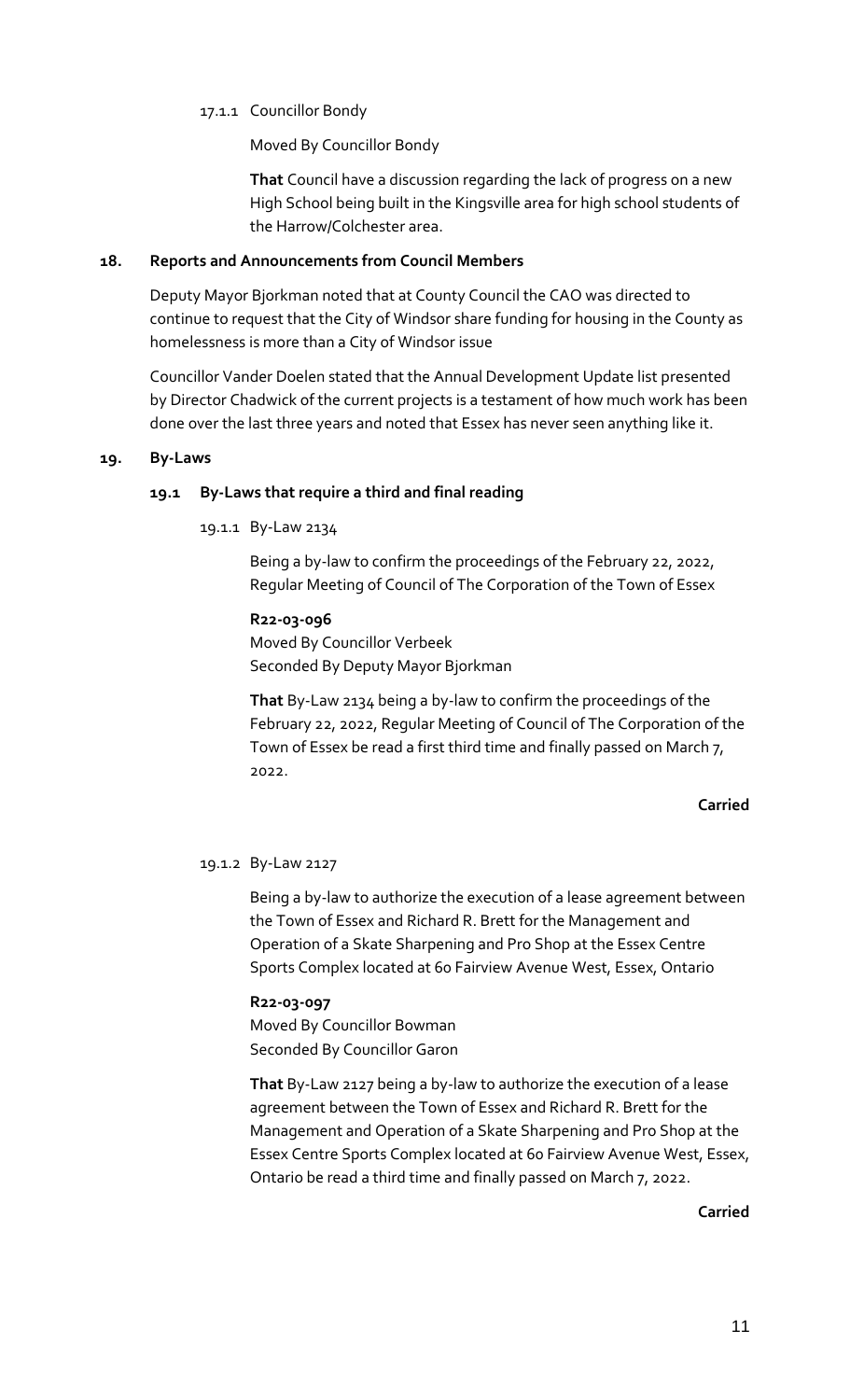## 17.1.1 Councillor Bondy

Moved By Councillor Bondy

**That** Council have a discussion regarding the lack of progress on a new High School being built in the Kingsville area for high school students of the Harrow/Colchester area.

#### **18. Reports and Announcements from Council Members**

Deputy Mayor Bjorkman noted that at County Council the CAO was directed to continue to request that the City of Windsor share funding for housing in the County as homelessness is more than a City of Windsor issue

Councillor Vander Doelen stated that the Annual Development Update list presented by Director Chadwick of the current projects is a testament of how much work has been done over the last three years and noted that Essex has never seen anything like it.

#### **19. By-Laws**

## **19.1 By-Laws that require a third and final reading**

19.1.1 By-Law 2134

Being a by-law to confirm the proceedings of the February 22, 2022, Regular Meeting of Council of The Corporation of the Town of Essex

## **R22-03-096**

Moved By Councillor Verbeek Seconded By Deputy Mayor Bjorkman

**That** By-Law 2134 being a by-law to confirm the proceedings of the February 22, 2022, Regular Meeting of Council of The Corporation of the Town of Essex be read a first third time and finally passed on March 7, 2022.

## **Carried**

## 19.1.2 By-Law 2127

Being a by-law to authorize the execution of a lease agreement between the Town of Essex and Richard R. Brett for the Management and Operation of a Skate Sharpening and Pro Shop at the Essex Centre Sports Complex located at 60 Fairview Avenue West, Essex, Ontario

# **R22-03-097**

Moved By Councillor Bowman Seconded By Councillor Garon

**That** By-Law 2127 being a by-law to authorize the execution of a lease agreement between the Town of Essex and Richard R. Brett for the Management and Operation of a Skate Sharpening and Pro Shop at the Essex Centre Sports Complex located at 60 Fairview Avenue West, Essex, Ontario be read a third time and finally passed on March 7, 2022.

**Carried**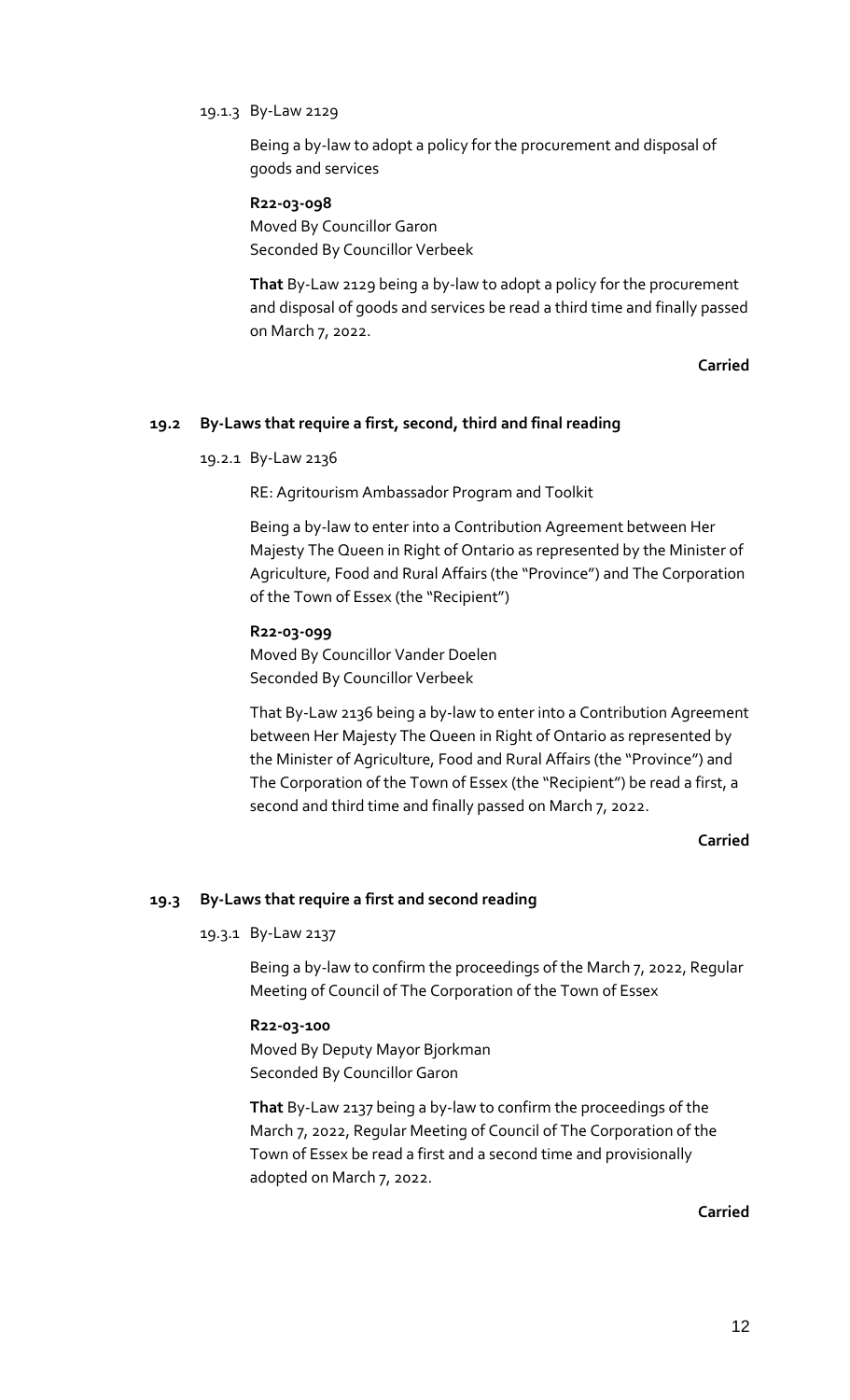#### 19.1.3 By-Law 2129

Being a by-law to adopt a policy for the procurement and disposal of goods and services

## **R22-03-098**

Moved By Councillor Garon Seconded By Councillor Verbeek

**That** By-Law 2129 being a by-law to adopt a policy for the procurement and disposal of goods and services be read a third time and finally passed on March 7, 2022.

**Carried**

## **19.2 By-Laws that require a first, second, third and final reading**

#### 19.2.1 By-Law 2136

RE: Agritourism Ambassador Program and Toolkit

Being a by-law to enter into a Contribution Agreement between Her Majesty The Queen in Right of Ontario as represented by the Minister of Agriculture, Food and Rural Affairs (the "Province") and The Corporation of the Town of Essex (the "Recipient")

#### **R22-03-099**

Moved By Councillor Vander Doelen Seconded By Councillor Verbeek

That By-Law 2136 being a by-law to enter into a Contribution Agreement between Her Majesty The Queen in Right of Ontario as represented by the Minister of Agriculture, Food and Rural Affairs (the "Province") and The Corporation of the Town of Essex (the "Recipient") be read a first, a second and third time and finally passed on March 7, 2022.

**Carried**

#### **19.3 By-Laws that require a first and second reading**

#### 19.3.1 By-Law 2137

Being a by-law to confirm the proceedings of the March 7, 2022, Regular Meeting of Council of The Corporation of the Town of Essex

#### **R22-03-100**

Moved By Deputy Mayor Bjorkman Seconded By Councillor Garon

**That** By-Law 2137 being a by-law to confirm the proceedings of the March 7, 2022, Regular Meeting of Council of The Corporation of the Town of Essex be read a first and a second time and provisionally adopted on March 7, 2022.

**Carried**